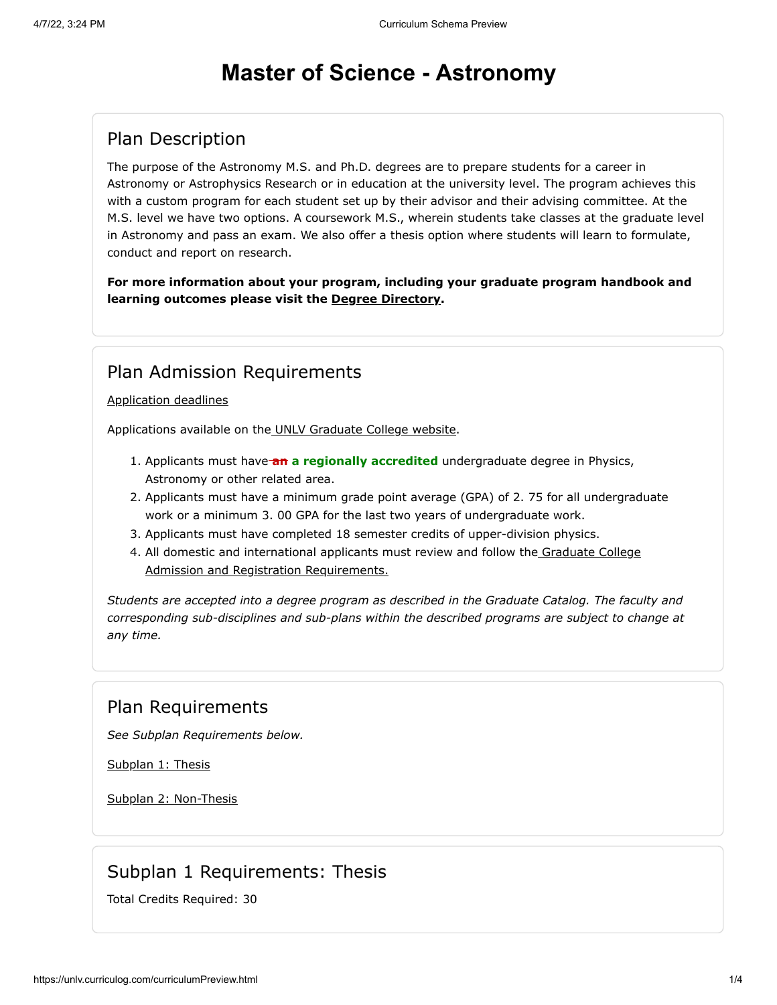# **Master of Science - Astronomy**

## Plan Description

The purpose of the Astronomy M.S. and Ph.D. degrees are to prepare students for a career in Astronomy or Astrophysics Research or in education at the university level. The program achieves this with a custom program for each student set up by their advisor and their advising committee. At the M.S. level we have two options. A coursework M.S., wherein students take classes at the graduate level in Astronomy and pass an exam. We also offer a thesis option where students will learn to formulate, conduct and report on research.

**For more information about your program, including your graduate program handbook and learning outcomes please visit the [Degree Directory](http://www.unlv.edu/degree/ms-astronomy).**

### Plan Admission Requirements

#### [Application deadlines](http://www.unlv.edu/graduatecollege/application-deadlines)

Applications available on th[e UNLV Graduate College website.](http://graduatecollege.unlv.edu/admissions/)

- 1. Applicants must have **an a regionally accredited** undergraduate degree in Physics, Astronomy or other related area.
- 2. Applicants must have a minimum grade point average (GPA) of 2. 75 for all undergraduate work or a minimum 3. 00 GPA for the last two years of undergraduate work.
- 3. Applicants must have completed 18 semester credits of upper-division physics.
- 4. [All domestic and international applicants must review and follow the Graduate College](http://www.unlv.edu/graduatecollege/futurestudents) Admission and Registration Requirements.

*Students are accepted into a degree program as described in the Graduate Catalog. The faculty and corresponding sub-disciplines and sub-plans within the described programs are subject to change at any time.*

### Plan Requirements

*See Subplan Requirements below.*

[Subplan 1: Thesis](#page-0-0)

[Subplan 2: Non-Thesis](#page-1-0)

### Subplan 1 Requirements: Thesis

<span id="page-0-0"></span>Total Credits Required: 30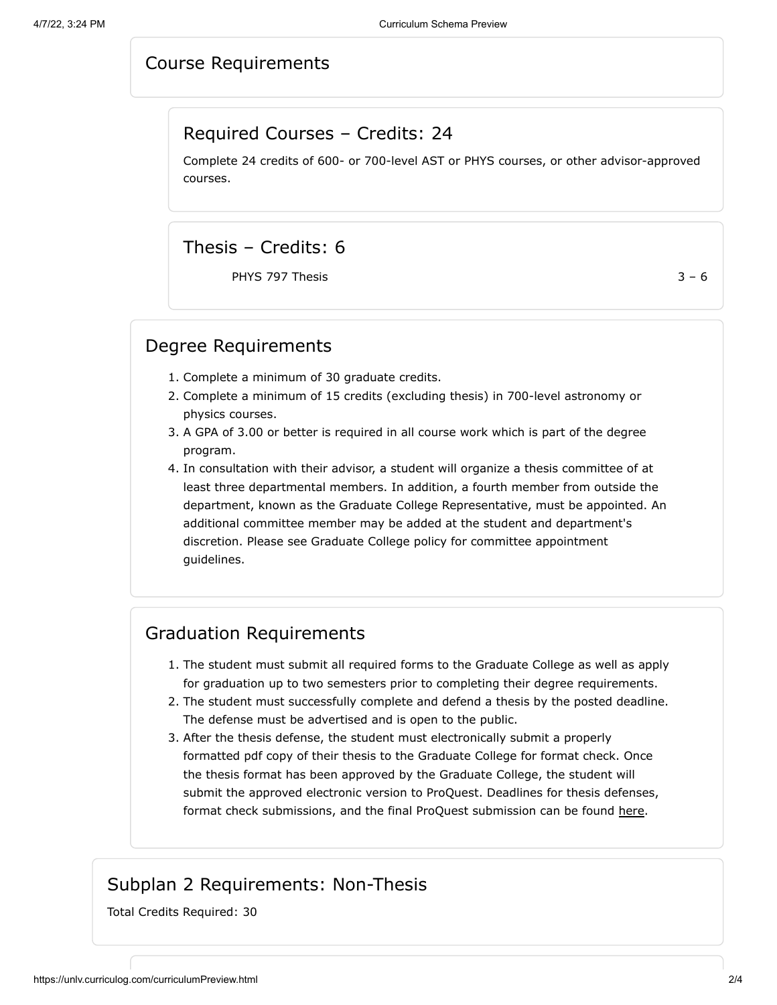#### Course Requirements

#### Required Courses – Credits: 24

Complete 24 credits of 600- or 700-level AST or PHYS courses, or other advisor-approved courses.

### Thesis – Credits: 6

PHYS 797 Thesis  $3 - 6$ 

#### Degree Requirements

- 1. Complete a minimum of 30 graduate credits.
- 2. Complete a minimum of 15 credits (excluding thesis) in 700-level astronomy or physics courses.
- 3. A GPA of 3.00 or better is required in all course work which is part of the degree program.
- 4. In consultation with their advisor, a student will organize a thesis committee of at least three departmental members. In addition, a fourth member from outside the department, known as the Graduate College Representative, must be appointed. An additional committee member may be added at the student and department's discretion. Please see Graduate College policy for committee appointment guidelines.

### Graduation Requirements

- 1. The student must submit all required forms to the Graduate College as well as apply for graduation up to two semesters prior to completing their degree requirements.
- 2. The student must successfully complete and defend a thesis by the posted deadline. The defense must be advertised and is open to the public.
- 3. After the thesis defense, the student must electronically submit a properly formatted pdf copy of their thesis to the Graduate College for format check. Once the thesis format has been approved by the Graduate College, the student will submit the approved electronic version to ProQuest. Deadlines for thesis defenses, format check submissions, and the final ProQuest submission can be found [here.](https://www.unlv.edu/graduatecollege/graduation-deadlines)

### Subplan 2 Requirements: Non-Thesis

<span id="page-1-0"></span>Total Credits Required: 30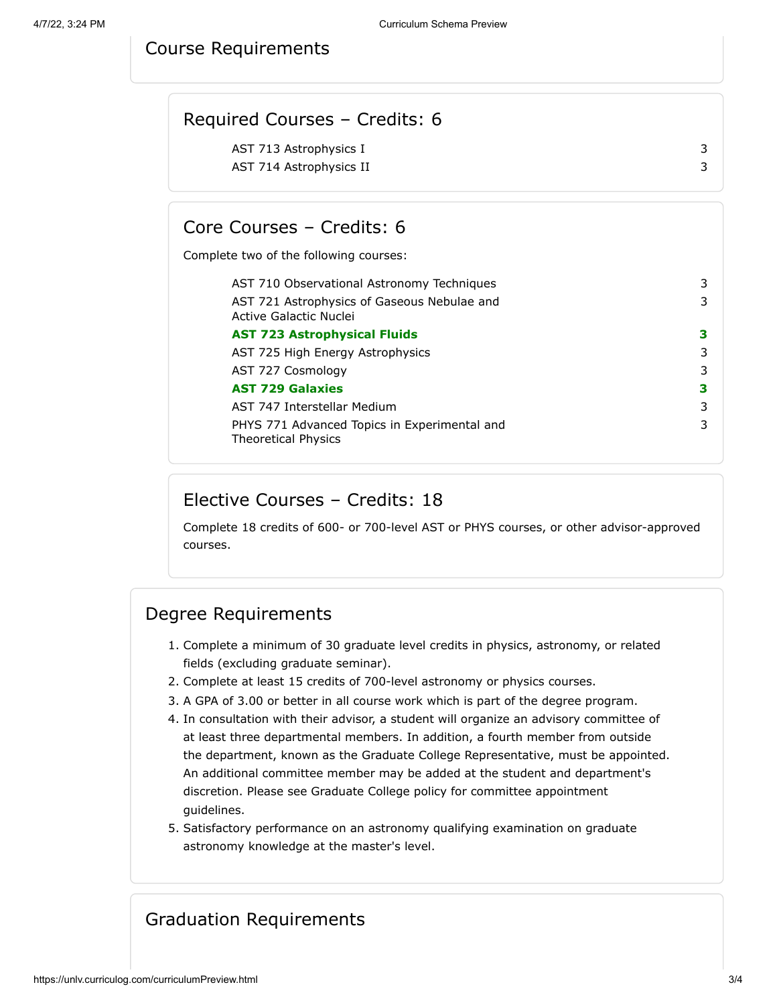#### Course Requirements

| Required Courses - Credits: 6 |  |
|-------------------------------|--|
| AST 713 Astrophysics I        |  |
| AST 714 Astrophysics II       |  |
|                               |  |

### Core Courses – Credits: 6

Complete two of the following courses:

| AST 710 Observational Astronomy Techniques                                 | 3 |
|----------------------------------------------------------------------------|---|
| AST 721 Astrophysics of Gaseous Nebulae and<br>Active Galactic Nuclei      | 3 |
| <b>AST 723 Astrophysical Fluids</b>                                        | З |
| AST 725 High Energy Astrophysics                                           | 3 |
| AST 727 Cosmology                                                          | 3 |
| <b>AST 729 Galaxies</b>                                                    | З |
| AST 747 Interstellar Medium                                                | 3 |
| PHYS 771 Advanced Topics in Experimental and<br><b>Theoretical Physics</b> | 3 |

#### Elective Courses – Credits: 18

Complete 18 credits of 600- or 700-level AST or PHYS courses, or other advisor-approved courses.

#### Degree Requirements

- 1. Complete a minimum of 30 graduate level credits in physics, astronomy, or related fields (excluding graduate seminar).
- 2. Complete at least 15 credits of 700-level astronomy or physics courses.
- 3. A GPA of 3.00 or better in all course work which is part of the degree program.
- 4. In consultation with their advisor, a student will organize an advisory committee of at least three departmental members. In addition, a fourth member from outside the department, known as the Graduate College Representative, must be appointed. An additional committee member may be added at the student and department's discretion. Please see Graduate College policy for committee appointment guidelines.
- 5. Satisfactory performance on an astronomy qualifying examination on graduate astronomy knowledge at the master's level.

### Graduation Requirements